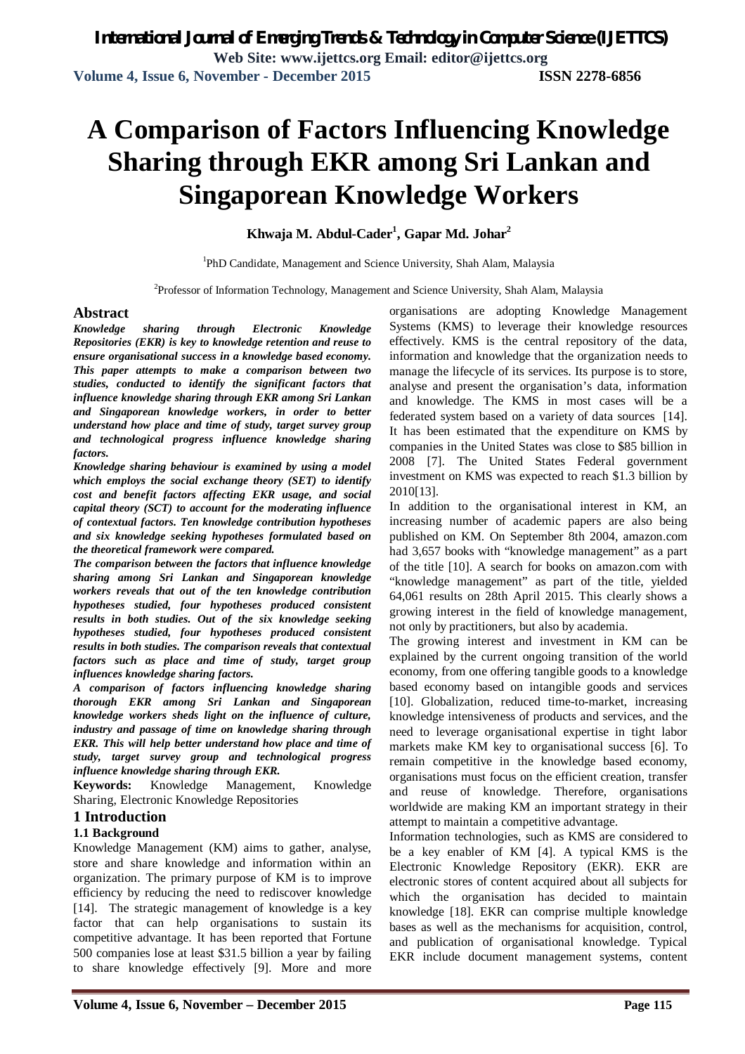# **A Comparison of Factors Influencing Knowledge Sharing through EKR among Sri Lankan and Singaporean Knowledge Workers**

**Khwaja M. Abdul-Cader<sup>1</sup> , Gapar Md. Johar<sup>2</sup>**

<sup>1</sup>PhD Candidate, Management and Science University, Shah Alam, Malaysia

<sup>2</sup>Professor of Information Technology, Management and Science University, Shah Alam, Malaysia

#### **Abstract**

*Knowledge sharing through Electronic Knowledge Repositories (EKR) is key to knowledge retention and reuse to ensure organisational success in a knowledge based economy. This paper attempts to make a comparison between two studies, conducted to identify the significant factors that influence knowledge sharing through EKR among Sri Lankan and Singaporean knowledge workers, in order to better understand how place and time of study, target survey group and technological progress influence knowledge sharing factors.*

*Knowledge sharing behaviour is examined by using a model which employs the social exchange theory (SET) to identify cost and benefit factors affecting EKR usage, and social capital theory (SCT) to account for the moderating influence of contextual factors. Ten knowledge contribution hypotheses and six knowledge seeking hypotheses formulated based on the theoretical framework were compared.* 

*The comparison between the factors that influence knowledge sharing among Sri Lankan and Singaporean knowledge workers reveals that out of the ten knowledge contribution hypotheses studied, four hypotheses produced consistent results in both studies. Out of the six knowledge seeking hypotheses studied, four hypotheses produced consistent results in both studies. The comparison reveals that contextual factors such as place and time of study, target group influences knowledge sharing factors.*

*A comparison of factors influencing knowledge sharing thorough EKR among Sri Lankan and Singaporean knowledge workers sheds light on the influence of culture, industry and passage of time on knowledge sharing through EKR. This will help better understand how place and time of study, target survey group and technological progress influence knowledge sharing through EKR.*

**Keywords:** Knowledge Management, Knowledge Sharing, Electronic Knowledge Repositories

#### **1 Introduction**

#### **1.1 Background**

Knowledge Management (KM) aims to gather, analyse, store and share knowledge and information within an organization. The primary purpose of KM is to improve efficiency by reducing the need to rediscover knowledge [14]. The strategic management of knowledge is a key factor that can help organisations to sustain its competitive advantage. It has been reported that Fortune 500 companies lose at least \$31.5 billion a year by failing to share knowledge effectively [9]. More and more

organisations are adopting Knowledge Management Systems (KMS) to leverage their knowledge resources effectively. KMS is the central repository of the data, information and knowledge that the organization needs to manage the lifecycle of its services. Its purpose is to store, analyse and present the organisation's data, information and knowledge. The KMS in most cases will be a federated system based on a variety of data sources [14]. It has been estimated that the expenditure on KMS by companies in the United States was close to \$85 billion in 2008 [7]. The United States Federal government investment on KMS was expected to reach \$1.3 billion by 2010[13].

In addition to the organisational interest in KM, an increasing number of academic papers are also being published on KM. On September 8th 2004, amazon.com had 3,657 books with "knowledge management" as a part of the title [10]. A search for books on amazon.com with "knowledge management" as part of the title, yielded 64,061 results on 28th April 2015. This clearly shows a growing interest in the field of knowledge management, not only by practitioners, but also by academia.

The growing interest and investment in KM can be explained by the current ongoing transition of the world economy, from one offering tangible goods to a knowledge based economy based on intangible goods and services [10]. Globalization, reduced time-to-market, increasing knowledge intensiveness of products and services, and the need to leverage organisational expertise in tight labor markets make KM key to organisational success [6]. To remain competitive in the knowledge based economy, organisations must focus on the efficient creation, transfer and reuse of knowledge. Therefore, organisations worldwide are making KM an important strategy in their attempt to maintain a competitive advantage.

Information technologies, such as KMS are considered to be a key enabler of KM [4]. A typical KMS is the Electronic Knowledge Repository (EKR). EKR are electronic stores of content acquired about all subjects for which the organisation has decided to maintain knowledge [18]. EKR can comprise multiple knowledge bases as well as the mechanisms for acquisition, control, and publication of organisational knowledge. Typical EKR include document management systems, content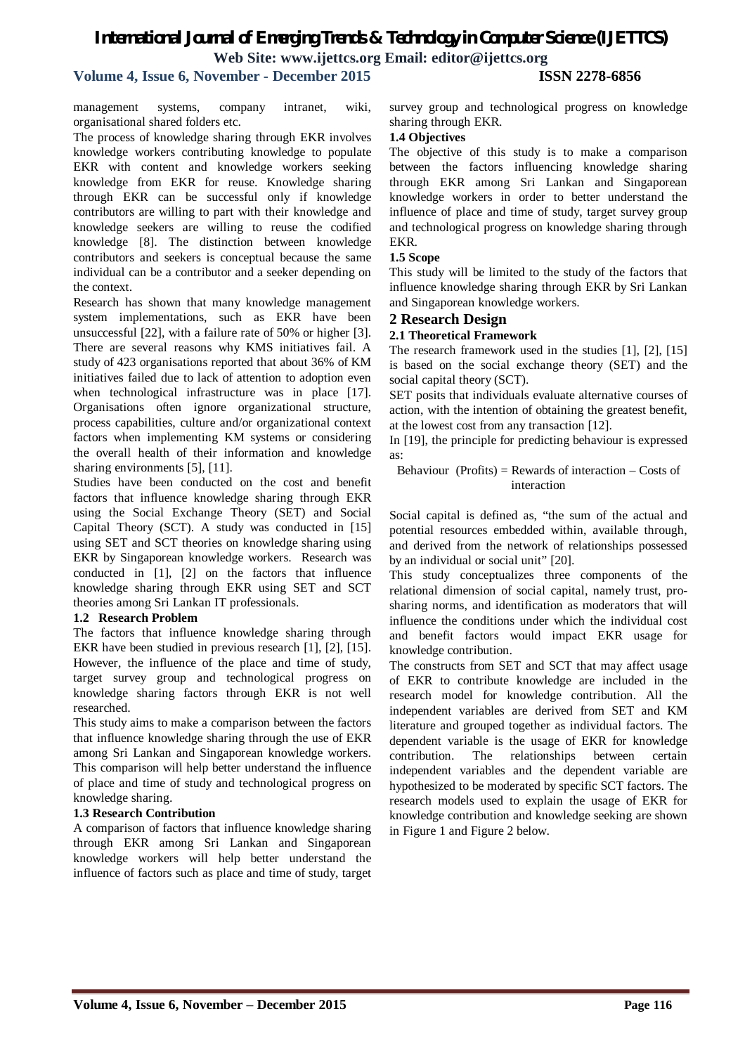# **Volume 4, Issue 6, November - December 2015 ISSN 2278-6856**

management systems, company intranet, wiki, organisational shared folders etc.

The process of knowledge sharing through EKR involves knowledge workers contributing knowledge to populate EKR with content and knowledge workers seeking knowledge from EKR for reuse. Knowledge sharing through EKR can be successful only if knowledge contributors are willing to part with their knowledge and knowledge seekers are willing to reuse the codified knowledge [8]. The distinction between knowledge contributors and seekers is conceptual because the same individual can be a contributor and a seeker depending on the context.

Research has shown that many knowledge management system implementations, such as EKR have been unsuccessful [22], with a failure rate of 50% or higher [3]. There are several reasons why KMS initiatives fail. A study of 423 organisations reported that about 36% of KM initiatives failed due to lack of attention to adoption even when technological infrastructure was in place [17]. Organisations often ignore organizational structure, process capabilities, culture and/or organizational context factors when implementing KM systems or considering the overall health of their information and knowledge sharing environments [5], [11].

Studies have been conducted on the cost and benefit factors that influence knowledge sharing through EKR using the Social Exchange Theory (SET) and Social Capital Theory (SCT). A study was conducted in [15] using SET and SCT theories on knowledge sharing using EKR by Singaporean knowledge workers. Research was conducted in [1], [2] on the factors that influence knowledge sharing through EKR using SET and SCT theories among Sri Lankan IT professionals.

#### **1.2 Research Problem**

The factors that influence knowledge sharing through EKR have been studied in previous research [1], [2], [15]. However, the influence of the place and time of study, target survey group and technological progress on knowledge sharing factors through EKR is not well researched.

This study aims to make a comparison between the factors that influence knowledge sharing through the use of EKR among Sri Lankan and Singaporean knowledge workers. This comparison will help better understand the influence of place and time of study and technological progress on knowledge sharing.

#### **1.3 Research Contribution**

A comparison of factors that influence knowledge sharing through EKR among Sri Lankan and Singaporean knowledge workers will help better understand the influence of factors such as place and time of study, target survey group and technological progress on knowledge sharing through EKR.

#### **1.4 Objectives**

The objective of this study is to make a comparison between the factors influencing knowledge sharing through EKR among Sri Lankan and Singaporean knowledge workers in order to better understand the influence of place and time of study, target survey group and technological progress on knowledge sharing through EKR.

#### **1.5 Scope**

This study will be limited to the study of the factors that influence knowledge sharing through EKR by Sri Lankan and Singaporean knowledge workers.

#### **2 Research Design**

#### **2.1 Theoretical Framework**

The research framework used in the studies [1], [2], [15] is based on the social exchange theory (SET) and the social capital theory (SCT).

SET posits that individuals evaluate alternative courses of action, with the intention of obtaining the greatest benefit, at the lowest cost from any transaction [12].

In [19], the principle for predicting behaviour is expressed as:

#### Behaviour (Profits) = Rewards of interaction  $-$  Costs of interaction

Social capital is defined as, "the sum of the actual and potential resources embedded within, available through, and derived from the network of relationships possessed by an individual or social unit" [20].

This study conceptualizes three components of the relational dimension of social capital, namely trust, prosharing norms, and identification as moderators that will influence the conditions under which the individual cost and benefit factors would impact EKR usage for knowledge contribution.

The constructs from SET and SCT that may affect usage of EKR to contribute knowledge are included in the research model for knowledge contribution. All the independent variables are derived from SET and KM literature and grouped together as individual factors. The dependent variable is the usage of EKR for knowledge contribution. The relationships between certain independent variables and the dependent variable are hypothesized to be moderated by specific SCT factors. The research models used to explain the usage of EKR for knowledge contribution and knowledge seeking are shown in Figure 1 and Figure 2 below.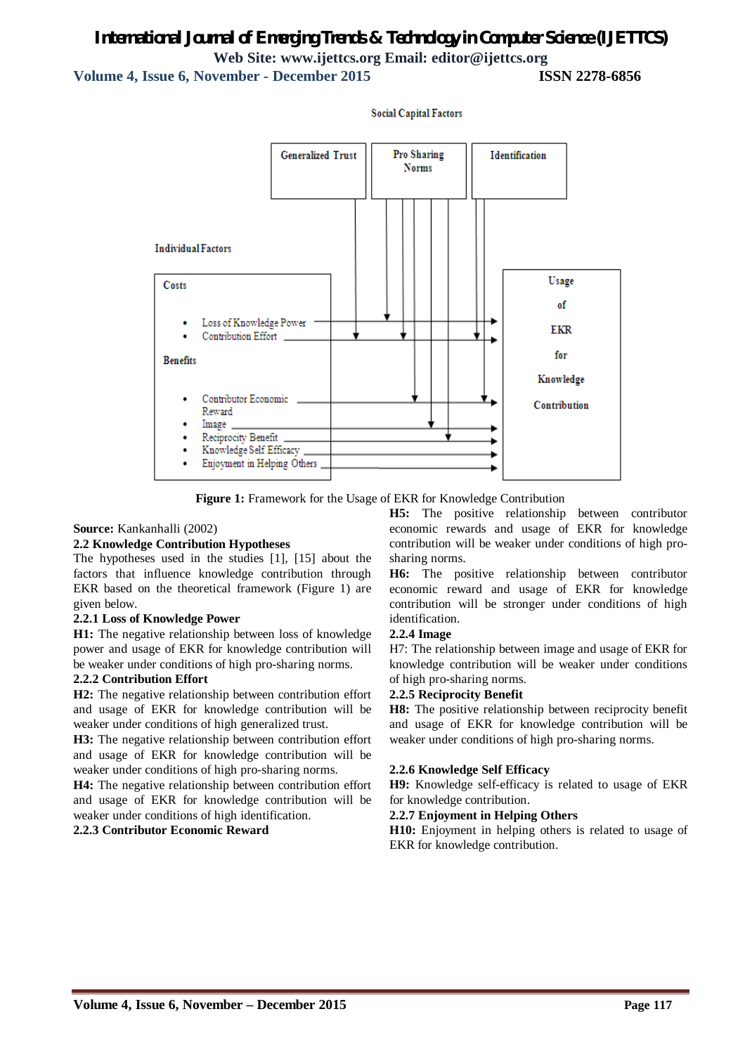**Volume 4, Issue 6, November - December 2015 ISSN 2278-6856**



**Social Capital Factors** 

**Figure 1:** Framework for the Usage of EKR for Knowledge Contribution

#### **Source:** Kankanhalli (2002)

#### **2.2 Knowledge Contribution Hypotheses**

The hypotheses used in the studies [1], [15] about the factors that influence knowledge contribution through EKR based on the theoretical framework (Figure 1) are given below.

#### **2.2.1 Loss of Knowledge Power**

**H1:** The negative relationship between loss of knowledge power and usage of EKR for knowledge contribution will be weaker under conditions of high pro-sharing norms.

#### **2.2.2 Contribution Effort**

**H2:** The negative relationship between contribution effort and usage of EKR for knowledge contribution will be weaker under conditions of high generalized trust.

**H3:** The negative relationship between contribution effort and usage of EKR for knowledge contribution will be weaker under conditions of high pro-sharing norms.

**H4:** The negative relationship between contribution effort and usage of EKR for knowledge contribution will be weaker under conditions of high identification.

#### **2.2.3 Contributor Economic Reward**

**H5:** The positive relationship between contributor economic rewards and usage of EKR for knowledge contribution will be weaker under conditions of high prosharing norms.

**H6:** The positive relationship between contributor economic reward and usage of EKR for knowledge contribution will be stronger under conditions of high identification.

#### **2.2.4 Image**

H7: The relationship between image and usage of EKR for knowledge contribution will be weaker under conditions of high pro-sharing norms.

#### **2.2.5 Reciprocity Benefit**

**H8:** The positive relationship between reciprocity benefit and usage of EKR for knowledge contribution will be weaker under conditions of high pro-sharing norms.

#### **2.2.6 Knowledge Self Efficacy**

**H9:** Knowledge self-efficacy is related to usage of EKR for knowledge contribution.

#### **2.2.7 Enjoyment in Helping Others**

**H10:** Enjoyment in helping others is related to usage of EKR for knowledge contribution.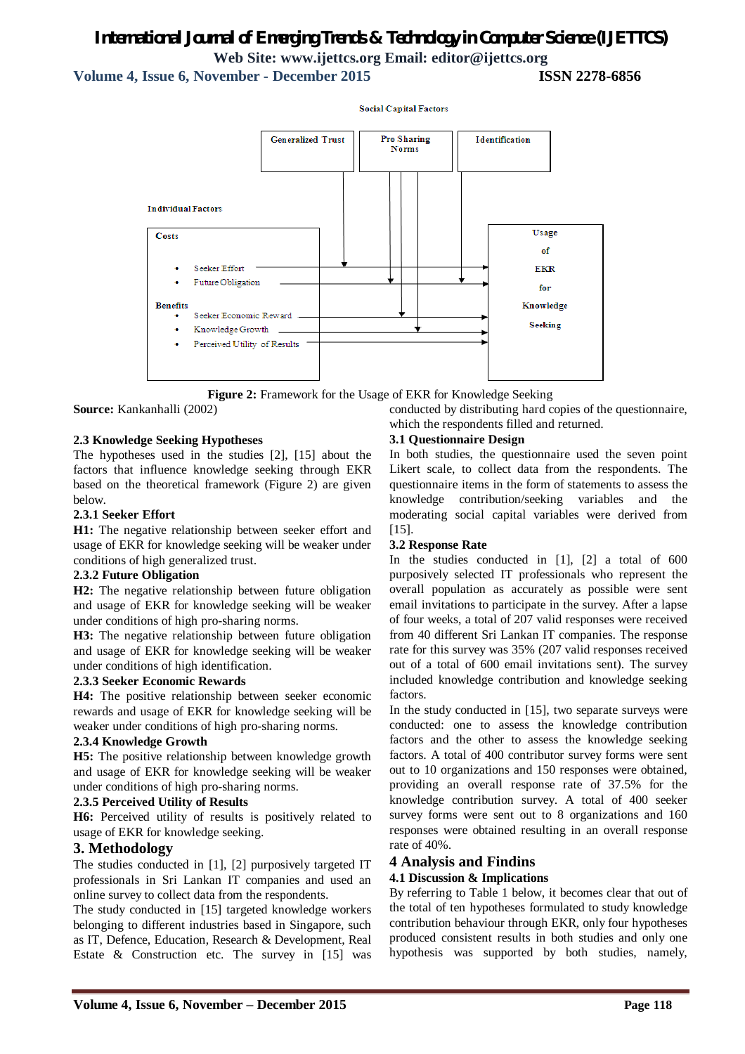**Social Capital Factors** 

**Volume 4, Issue 6, November - December 2015** 



**Figure 2:** Framework for the Usage of EKR for Knowledge Seeking

**Source:** Kankanhalli (2002)

#### **2.3 Knowledge Seeking Hypotheses**

The hypotheses used in the studies [2], [15] about the factors that influence knowledge seeking through EKR based on the theoretical framework (Figure 2) are given below.

#### **2.3.1 Seeker Effort**

**H1:** The negative relationship between seeker effort and usage of EKR for knowledge seeking will be weaker under conditions of high generalized trust.

#### **2.3.2 Future Obligation**

**H2:** The negative relationship between future obligation and usage of EKR for knowledge seeking will be weaker under conditions of high pro-sharing norms.

**H3:** The negative relationship between future obligation and usage of EKR for knowledge seeking will be weaker under conditions of high identification.

#### **2.3.3 Seeker Economic Rewards**

**H4:** The positive relationship between seeker economic rewards and usage of EKR for knowledge seeking will be weaker under conditions of high pro-sharing norms.

#### **2.3.4 Knowledge Growth**

**H5:** The positive relationship between knowledge growth and usage of EKR for knowledge seeking will be weaker under conditions of high pro-sharing norms.

#### **2.3.5 Perceived Utility of Results**

**H6:** Perceived utility of results is positively related to usage of EKR for knowledge seeking.

#### **3. Methodology**

The studies conducted in [1], [2] purposively targeted IT professionals in Sri Lankan IT companies and used an online survey to collect data from the respondents.

The study conducted in [15] targeted knowledge workers belonging to different industries based in Singapore, such as IT, Defence, Education, Research & Development, Real Estate & Construction etc. The survey in [15] was

#### **3.1 Questionnaire Design**

which the respondents filled and returned.

In both studies, the questionnaire used the seven point Likert scale, to collect data from the respondents. The questionnaire items in the form of statements to assess the knowledge contribution/seeking variables and the moderating social capital variables were derived from [15].

conducted by distributing hard copies of the questionnaire,

#### **3.2 Response Rate**

In the studies conducted in [1], [2] a total of 600 purposively selected IT professionals who represent the overall population as accurately as possible were sent email invitations to participate in the survey. After a lapse of four weeks, a total of 207 valid responses were received from 40 different Sri Lankan IT companies. The response rate for this survey was 35% (207 valid responses received out of a total of 600 email invitations sent). The survey included knowledge contribution and knowledge seeking factors.

In the study conducted in [15], two separate surveys were conducted: one to assess the knowledge contribution factors and the other to assess the knowledge seeking factors. A total of 400 contributor survey forms were sent out to 10 organizations and 150 responses were obtained, providing an overall response rate of 37.5% for the knowledge contribution survey. A total of 400 seeker survey forms were sent out to 8 organizations and 160 responses were obtained resulting in an overall response rate of 40%.

#### **4 Analysis and Findins**

#### **4.1 Discussion & Implications**

By referring to Table 1 below, it becomes clear that out of the total of ten hypotheses formulated to study knowledge contribution behaviour through EKR, only four hypotheses produced consistent results in both studies and only one hypothesis was supported by both studies, namely,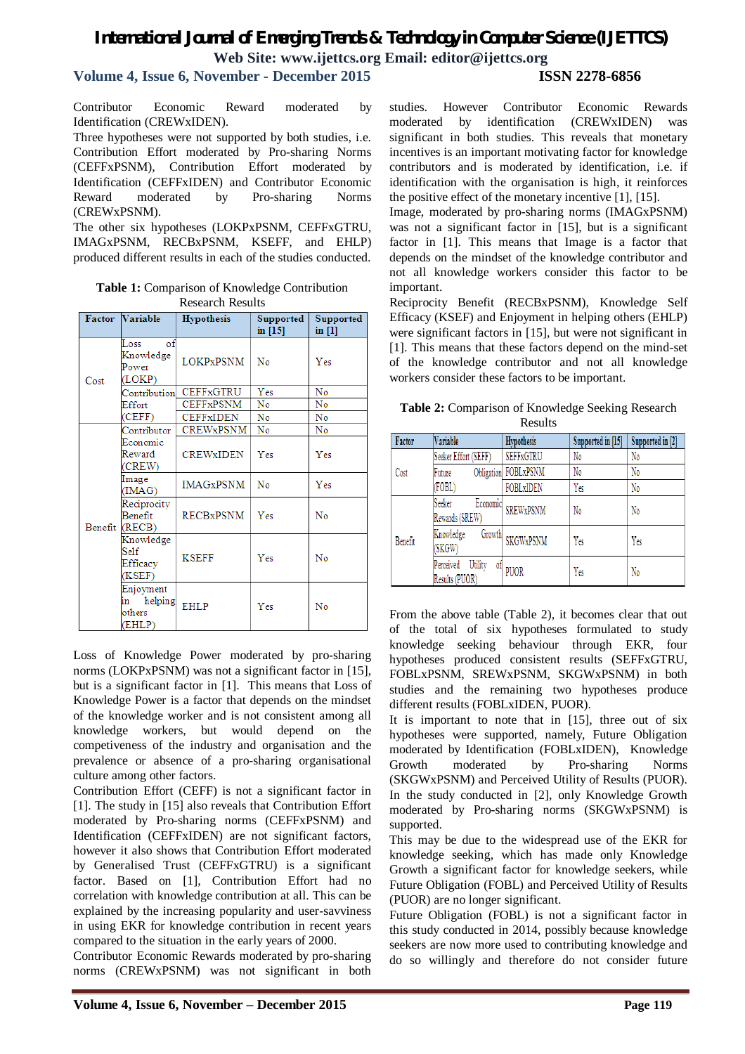### **Volume 4, Issue 6, November - December 2015 ISSN 2278-6856**

Contributor Economic Reward moderated by Identification (CREWxIDEN).

Three hypotheses were not supported by both studies, i.e. Contribution Effort moderated by Pro-sharing Norms (CEFFxPSNM), Contribution Effort moderated by Identification (CEFFxIDEN) and Contributor Economic Reward moderated by Pro-sharing Norms (CREWxPSNM).

The other six hypotheses (LOKPxPSNM, CEFFxGTRU, IMAGxPSNM, RECBxPSNM, KSEFF, and EHLP) produced different results in each of the studies conducted.

**Table 1:** Comparison of Knowledge Contribution Research Results

| <b>Factor</b> | Variable                                         | <b>Hypothesis</b> | Supported<br>in $[15]$ | Supported<br>in [1] |
|---------------|--------------------------------------------------|-------------------|------------------------|---------------------|
| Cost          | Loss<br>οf<br>Knowledge<br>Power<br>(LOKP)       | <b>LOKPxPSNM</b>  | No                     | Yes                 |
|               | Contribution                                     | <b>CEFFxGTRU</b>  | Yes                    | No                  |
|               | Effort                                           | <b>CEFFxPSNM</b>  | No                     | No                  |
|               | (CEFF)                                           | CEFFxIDEN         | No                     | No                  |
|               | Contributor                                      | <b>CREWxPSNM</b>  | No                     | No                  |
|               | Economic<br>Reward<br>(CREW)                     | <b>CREWXIDEN</b>  | Yes                    | Yes                 |
|               | Image<br>(IMAG)                                  | <b>IMAGxPSNM</b>  | No                     | Yes                 |
|               | Reciprocity<br>Benefit<br>Benefit (RECB)         | <b>RECBxPSNM</b>  | Yes                    | No                  |
|               | Knowledge<br>Self<br>Efficacy<br>(KSEF)          | <b>KSEFF</b>      | Yes                    | No                  |
|               | Enjoyment<br>helping<br>lin.<br>others<br>(EHLP) | EHLP              | Yes                    | No                  |

Loss of Knowledge Power moderated by pro-sharing norms (LOKPxPSNM) was not a significant factor in [15], but is a significant factor in [1]. This means that Loss of Knowledge Power is a factor that depends on the mindset of the knowledge worker and is not consistent among all knowledge workers, but would depend on the competiveness of the industry and organisation and the prevalence or absence of a pro-sharing organisational culture among other factors.

Contribution Effort (CEFF) is not a significant factor in [1]. The study in [15] also reveals that Contribution Effort moderated by Pro-sharing norms (CEFFxPSNM) and Identification (CEFFxIDEN) are not significant factors, however it also shows that Contribution Effort moderated by Generalised Trust (CEFFxGTRU) is a significant factor. Based on [1], Contribution Effort had no correlation with knowledge contribution at all. This can be explained by the increasing popularity and user-savviness in using EKR for knowledge contribution in recent years compared to the situation in the early years of 2000.

Contributor Economic Rewards moderated by pro-sharing norms (CREWxPSNM) was not significant in both

studies. However Contributor Economic Rewards moderated by identification (CREWxIDEN) was significant in both studies. This reveals that monetary incentives is an important motivating factor for knowledge contributors and is moderated by identification, i.e. if identification with the organisation is high, it reinforces the positive effect of the monetary incentive [1], [15].

Image, moderated by pro-sharing norms (IMAGxPSNM) was not a significant factor in [15], but is a significant factor in [1]. This means that Image is a factor that depends on the mindset of the knowledge contributor and not all knowledge workers consider this factor to be important.

Reciprocity Benefit (RECBxPSNM), Knowledge Self Efficacy (KSEF) and Enjoyment in helping others (EHLP) were significant factors in [15], but were not significant in [1]. This means that these factors depend on the mind-set of the knowledge contributor and not all knowledge workers consider these factors to be important.

| Table 2: Comparison of Knowledge Seeking Research |
|---------------------------------------------------|
| Results                                           |

| Factor  | Variable                                     | Hypothesis           | Supported in [15] | Supported in [2] |
|---------|----------------------------------------------|----------------------|-------------------|------------------|
| Cost    | Seeker Effort (SEFF)                         | <b>SEFFxGTRU</b>     | No                | No               |
|         | Future                                       | Obligation FOBLxPSNM | No                | No               |
|         | (FOBL)                                       | FOBLXIDEN            | Yes               | No               |
| Benefit | Seeker<br>Economic<br>Rewards (SREW)         | <b>SREWxPSNM</b>     | N <sub>0</sub>    | No               |
|         | Knowledge<br>Growth<br>(SKGW)                | <b>SKGWxPSNM</b>     | Yes               | Yes              |
|         | Perceived<br>Utility<br>0İ<br>Results (PUOR) | <b>PUOR</b>          | Yes               | No               |

From the above table (Table 2), it becomes clear that out of the total of six hypotheses formulated to study knowledge seeking behaviour through EKR, four hypotheses produced consistent results (SEFFxGTRU, FOBLxPSNM, SREWxPSNM, SKGWxPSNM) in both studies and the remaining two hypotheses produce different results (FOBLxIDEN, PUOR).

It is important to note that in [15], three out of six hypotheses were supported, namely, Future Obligation moderated by Identification (FOBLxIDEN), Knowledge Growth moderated by Pro-sharing Norms (SKGWxPSNM) and Perceived Utility of Results (PUOR). In the study conducted in [2], only Knowledge Growth moderated by Pro-sharing norms (SKGWxPSNM) is supported.

This may be due to the widespread use of the EKR for knowledge seeking, which has made only Knowledge Growth a significant factor for knowledge seekers, while Future Obligation (FOBL) and Perceived Utility of Results (PUOR) are no longer significant.

Future Obligation (FOBL) is not a significant factor in this study conducted in 2014, possibly because knowledge seekers are now more used to contributing knowledge and do so willingly and therefore do not consider future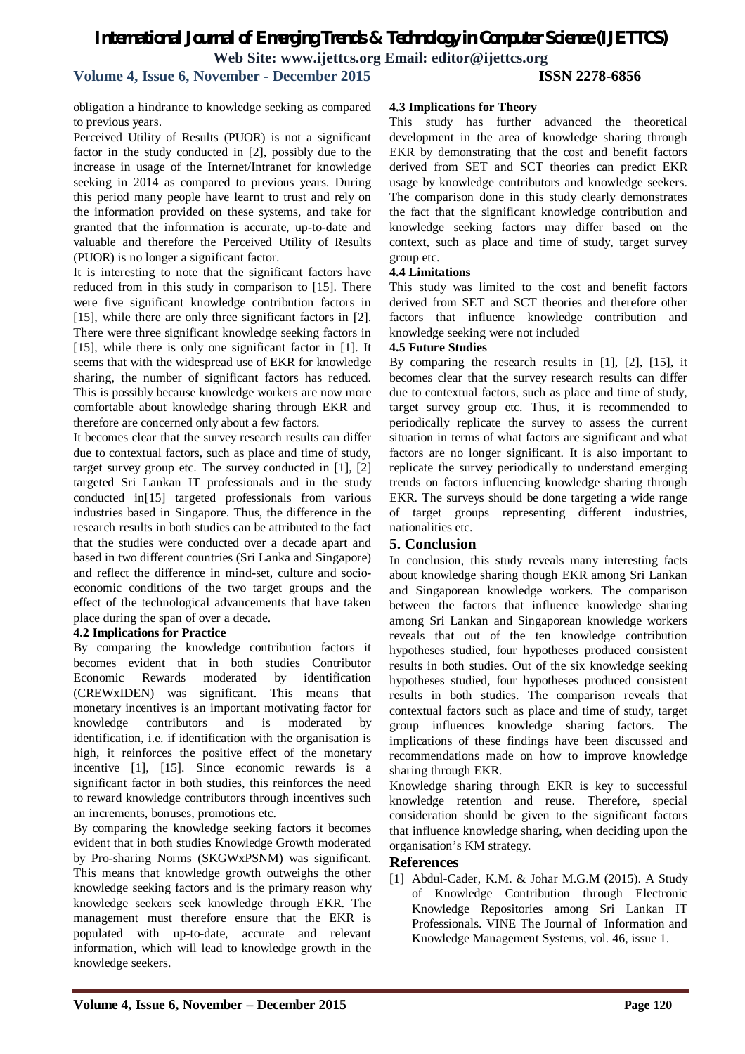# *International Journal of Emerging Trends & Technology in Computer Science (IJETTCS)* **Web Site: www.ijettcs.org Email: editor@ijettcs.org Volume 4, Issue 6, November - December 2015 ISSN 2278-6856**

obligation a hindrance to knowledge seeking as compared

to previous years. Perceived Utility of Results (PUOR) is not a significant factor in the study conducted in [2], possibly due to the increase in usage of the Internet/Intranet for knowledge seeking in 2014 as compared to previous years. During this period many people have learnt to trust and rely on the information provided on these systems, and take for granted that the information is accurate, up-to-date and valuable and therefore the Perceived Utility of Results (PUOR) is no longer a significant factor.

It is interesting to note that the significant factors have reduced from in this study in comparison to [15]. There were five significant knowledge contribution factors in [15], while there are only three significant factors in [2]. There were three significant knowledge seeking factors in [15], while there is only one significant factor in [1]. It seems that with the widespread use of EKR for knowledge sharing, the number of significant factors has reduced. This is possibly because knowledge workers are now more comfortable about knowledge sharing through EKR and therefore are concerned only about a few factors.

It becomes clear that the survey research results can differ due to contextual factors, such as place and time of study, target survey group etc. The survey conducted in [1], [2] targeted Sri Lankan IT professionals and in the study conducted in[15] targeted professionals from various industries based in Singapore. Thus, the difference in the research results in both studies can be attributed to the fact that the studies were conducted over a decade apart and based in two different countries (Sri Lanka and Singapore) and reflect the difference in mind-set, culture and socioeconomic conditions of the two target groups and the effect of the technological advancements that have taken place during the span of over a decade.

#### **4.2 Implications for Practice**

By comparing the knowledge contribution factors it becomes evident that in both studies Contributor Economic Rewards moderated by identification (CREWxIDEN) was significant. This means that monetary incentives is an important motivating factor for knowledge contributors and is moderated by identification, i.e. if identification with the organisation is high, it reinforces the positive effect of the monetary incentive [1], [15]. Since economic rewards is a significant factor in both studies, this reinforces the need to reward knowledge contributors through incentives such an increments, bonuses, promotions etc.

By comparing the knowledge seeking factors it becomes evident that in both studies Knowledge Growth moderated by Pro-sharing Norms (SKGWxPSNM) was significant. This means that knowledge growth outweighs the other knowledge seeking factors and is the primary reason why knowledge seekers seek knowledge through EKR. The management must therefore ensure that the EKR is populated with up-to-date, accurate and relevant information, which will lead to knowledge growth in the knowledge seekers.

# **Volume 4, Issue 6, November – December 2015 Page 120**

# **4.3 Implications for Theory**

This study has further advanced the theoretical development in the area of knowledge sharing through EKR by demonstrating that the cost and benefit factors derived from SET and SCT theories can predict EKR usage by knowledge contributors and knowledge seekers. The comparison done in this study clearly demonstrates the fact that the significant knowledge contribution and knowledge seeking factors may differ based on the context, such as place and time of study, target survey group etc.

## **4.4 Limitations**

This study was limited to the cost and benefit factors derived from SET and SCT theories and therefore other factors that influence knowledge contribution and knowledge seeking were not included

## **4.5 Future Studies**

By comparing the research results in [1], [2], [15], it becomes clear that the survey research results can differ due to contextual factors, such as place and time of study, target survey group etc. Thus, it is recommended to periodically replicate the survey to assess the current situation in terms of what factors are significant and what factors are no longer significant. It is also important to replicate the survey periodically to understand emerging trends on factors influencing knowledge sharing through EKR. The surveys should be done targeting a wide range of target groups representing different industries, nationalities etc.

#### **5. Conclusion**

In conclusion, this study reveals many interesting facts about knowledge sharing though EKR among Sri Lankan and Singaporean knowledge workers. The comparison between the factors that influence knowledge sharing among Sri Lankan and Singaporean knowledge workers reveals that out of the ten knowledge contribution hypotheses studied, four hypotheses produced consistent results in both studies. Out of the six knowledge seeking hypotheses studied, four hypotheses produced consistent results in both studies. The comparison reveals that contextual factors such as place and time of study, target group influences knowledge sharing factors. The implications of these findings have been discussed and recommendations made on how to improve knowledge sharing through EKR.

Knowledge sharing through EKR is key to successful knowledge retention and reuse. Therefore, special consideration should be given to the significant factors that influence knowledge sharing, when deciding upon the organisation's KM strategy.

#### **References**

[1] Abdul-Cader, K.M. & Johar M.G.M (2015). A Study of Knowledge Contribution through Electronic Knowledge Repositories among Sri Lankan IT Professionals. VINE The Journal of Information and Knowledge Management Systems, vol. 46, issue 1.